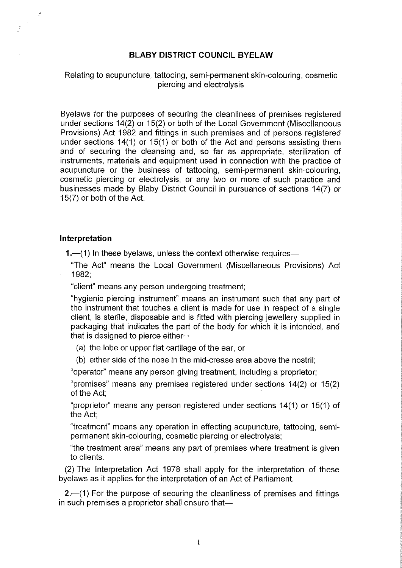## **BLABY DISTRICT COUNCIL BYELAW**

## Relating to acupuncture, tattooing, semi-permanent skin-colouring, cosmetic piercing and electrolysis

Byelaws for the purposes of securing the cleanliness of premises registered under sections 14(2) or 15(2) or both of the Local Government (Miscellaneous Provisions) Act 1982 and fittings in such premises and of persons registered under sections 14(1) or 15(1) or both of the Act and persons assisting them and of securing the cleansing and, so far as appropriate, sterilization of instruments, materials and equipment used in connection with the practice of acupuncture or the business of tattooing, semi-permanent skin-colouring, cosmetic piercing or electrolysis, or any two or more of such practice and businesses made by Blaby District Council in pursuance of sections 14(7) or 15(7) or both of the Act.

## **Interpretation**

 $\frac{3}{2}$ 

 $\widetilde{\mathcal{R}}$ 

**1.**—(1) In these byelaws, unless the context otherwise requires—

"The Act" means the Local Government (Miscellaneous Provisions) Act 1982;

"client" means any person undergoing treatment;

"hygienic piercing instrument" means an instrument such that any part of the instrument that touches a client is made for use in respect of a single client, is sterile, disposable and is fitted with piercing jewellery supplied in packaging that indicates the part of the body for which it is intended, and that is designed to pierce either-

(a) the lobe or upper flat cartilage of the ear, or

(b) either side of the nose in the mid-crease area above the nostril;

"operator" means any person giving treatment, including a proprietor;

"premises" means any premises registered under sections 14(2) or 15(2) of the Act;

"proprietor" means any person registered under sections 14(1) or 15(1) of the Act;

"treatment" means any operation in effecting acupuncture, tattooing, semipermanent skin-colouring, cosmetic piercing or electrolysis;

"the treatment area" means any part of premises where treatment is given to clients.

(2) The Interpretation Act 1978 shall apply for the interpretation of these byelaws as it applies for the interpretation of an Act of Parliament.

**2.**-(1) For the purpose of securing the cleanliness of premises and fittings in such premises a proprietor shall ensure that $-$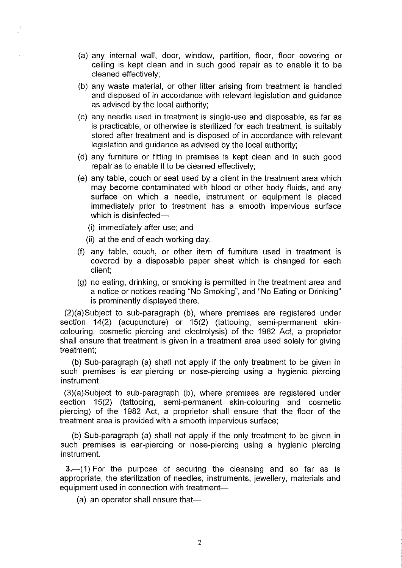- (a) any internal wall, door, window, partition, floor, floor covering or ceiling is kept clean and in such good repair as to enable it to be cleaned effectively;
- (b) any waste material, or other litter arising from treatment is handled and disposed of in accordance with relevant legislation and guidance as advised by the local authority;
- (c) any needle used in treatment is single-use and disposable, as far as is practicable, or otherwise is sterilized for each treatment, is suitably stored after treatment and is disposed of in accordance with relevant legislation and guidance as advised by the local authority;
- (d) any furniture or fitting in premises is kept clean and in such good repair as to enable it to be cleaned effectively;
- (e) any table, couch or seat used by a client in the treatment area which may become contaminated with blood or other body fluids, and any surface on which a needle, instrument or equipment is placed immediately prior to treatment has a smooth impervious surface which is disinfected-
	- (i) immediately after use; and
	- (ii) at the end of each working day.
- (f) any table, couch, or other item of furniture used in treatment is covered by a disposable paper sheet which is changed for each client;
- (g) no eating, drinking, or smoking is permitted in the treatment area and a notice or notices reading "No Smoking", and "No Eating or Drinking" is prominently displayed there.

(2)(a)Subject to sub-paragraph (b), where premises are registered under section 14(2) (acupuncture) or 15(2) (tattooing, semi-permanent skincolouring, cosmetic piercing and electrolysis) of the 1982 Act, a proprietor shall ensure that treatment is given in a treatment area used solely for giving treatment;

(b) Sub-paragraph (a) shall not apply if the only treatment to be given in such premises is ear-piercing or nose-piercing using a hygienic piercing instrument.

(3)(a)Subject to sub-paragraph (b), where premises are registered under section 15(2) (tattooing, semi-permanent skin-colouring and cosmetic piercing) of the 1982 Act, a proprietor shall ensure that the floor of the treatment area is provided with a smooth impervious surface;

(b) Sub-paragraph (a) shall not apply if the only treatment to be given in such premises is ear-piercing or nose-piercing using a hygienic piercing instrument.

**3.** (1) For the purpose of securing the cleansing and so far as is appropriate, the sterilization of needles, instruments, jewellery, materials and equipment used in connection with treatment-

 $(a)$  an operator shall ensure that-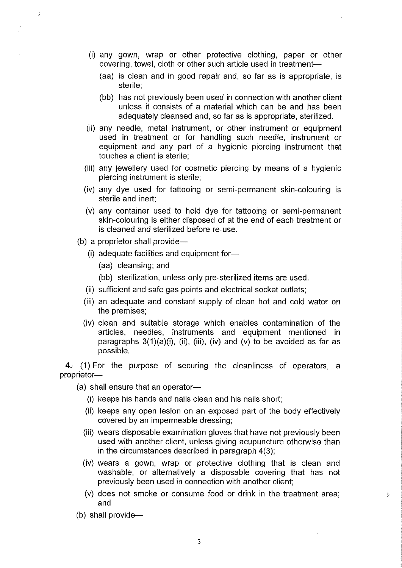- (i) any gown, wrap or other protective clothing, paper or other covering, towel, cloth or other such article used in treatment-
	- (aa) is clean and in good repair and, so far as is appropriate, is sterile;
	- (bb) has not previously been used in connection with another client unless it consists of a material which can be and has been adequately cleansed and, so far as is appropriate, sterilized.
- (ii) any needle, metal instrument, or other instrument or equipment used in treatment or for handling such needle, instrument or equipment and any part of a hygienic piercing instrument that touches a client is sterile;
- (iii) any jewellery used for cosmetic piercing by means of a hygienic piercing instrument is sterile;
- (iv) any dye used for tattooing or semi-permanent skin-colouring is sterile and inert;
- (v) any container used to hold dye for tattooing or semi-permanent skin-colouring is either disposed of at the end of each treatment or is cleaned and sterilized before re-use.
- (b) a proprietor shall provide-

 $\ddot{\phantom{1}}$ 

- (i) adequate facilities and equipment for
	- (aa) cleansing; and
	- (bb) sterilization, unless only pre-sterilized items are used.
- (ii) sufficient and safe gas points and electrical socket outlets;
- (iii) an adequate and constant supply of clean hot and cold water on the premises;
- (iv) clean and suitable storage which enables contamination of the articles, needles, instruments and equipment mentioned in paragraphs  $3(1)(a)(i)$ , (ii), (iii), (iv) and (v) to be avoided as far as possible.

4.<sup>-</sup>(1) For the purpose of securing the cleanliness of operators, a proprietor-

- $(a)$  shall ensure that an operator-
	- (i) keeps his hands and nails clean and his nails short;
	- (ii) keeps any open lesion on an exposed part of the body effectively covered by an impermeable dressing;
	- (iii) wears disposable examination gloves that have not previously been used with another client, unless giving acupuncture otherwise than in the circumstances described in paragraph 4(3);
	- (iv) wears a gown, wrap or protective clothing that is clean and washable, or alternatively a disposable covering that has not previously been used in connection with another client;
	- (v) does not smoke or consume food or drink in the treatment area; and

ă

(b) shall provide- $-$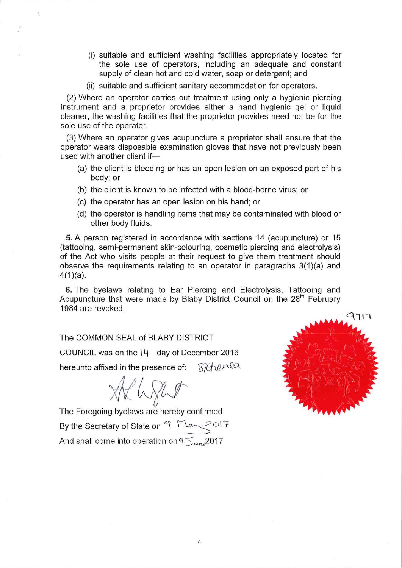- (i) suitable and sufficient washing facilities appropriately located for the sole use of operators, including an adequate and constant supply of clean hot and cold water, soap or detergent; and
- (ii) suitable and sufficient sanitary accommodation for operators.

(2) Where an operator carries out treatment using only a hygienic piercing instrument and a proprietor provides either a hand hygienic gel or liquid cleaner, the washing facilities that the proprietor provides need not be for the sole use of the operator.

(3) Where an operator gives acupuncture a proprietor shall ensure that the operator wears disposable examination gloves that have not previously been used with another client if-

- (a) the client is bleeding or has an open lesion on an exposed part of his body; or
- (b) the client is known to be infected with a blood-borne virus; or
- (c) the operator has an open lesion on his hand; or
- (d) the operator is handling items that may be contaminated with blood or other body fluids.

5. A person registered in accordance with sections 14 (acupuncture) or 15 (tattooing, semi-permanent skin-colouring, cosmetic piercing and electrolysis) of the Act who visits people at their request to give them treatment should observe the requirements relating to an operator in paragraphs  $3(1)(a)$  and 4(1)(a).

6. The byelaws relating to Ear Piercing and Electrolysis, Tattooing and Acupuncture that were made by Blaby District Council on the 28<sup>th</sup> February 1984 are revoked.

The COMMON SEAL of BLABY DISTRICT COUNCIL was on the **t4** day of December 2016 hereunto affixed in the presence of:  $% \mathcal{L}_{1}$   $\mathcal{L}_{2}$   $\mathcal{L}_{3}$ 

*xt/fJji!r* 

The Foregoing byelaws are hereby confirmed By the Secretary of State on  $9^{n}$  May 2017 And shall come into operation on  $9\leq$   $\mu$ <sub>n</sub>.2017

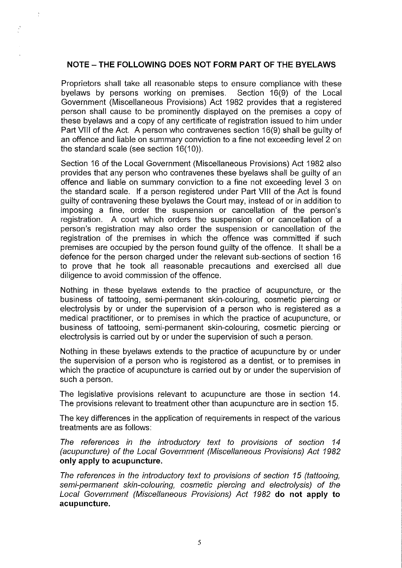## **NOTE - THE FOLLOWING DOES NOT FORM PART OF THE BYELAWS**

 $\frac{\sqrt{3}}{4}$ 

Proprietors shall take all reasonable steps to ensure compliance with these<br>byelaws by persons working on premises. Section 16(9) of the Local byelaws by persons working on premises. Government (Miscellaneous Provisions) Act 1982 provides that a registered person shall cause to be prominently displayed on the premises a copy of these byelaws and a copy of any certificate of registration issued to him under Part VIII of the Act. A person who contravenes section 16(9) shall be guilty of an offence and liable on summary conviction to a fine not exceeding level 2 on the standard scale (see section 16(10)).

Section 16 of the Local Government (Miscellaneous Provisions) Act 1982 also provides that any person who contravenes these byelaws shall be guilty of an offence and liable on summary conviction to a fine not exceeding level 3 on the standard scale. If a person registered under Part VIII of the Act is found guilty of contravening these byelaws the Court may, instead of or in addition to imposing a fine, order the suspension or cancellation of the person's registration. A court which orders the suspension of or cancellation of a person's registration may also order the suspension or cancellation of the registration of the premises in which the offence was committed if such premises are occupied by the person found guilty of the offence. It shall be a defence for the person charged under the relevant sub-sections of section 16 to prove that he took all reasonable precautions and exercised all due diligence to avoid commission of the offence.

Nothing in these byelaws extends to the practice of acupuncture, or the business of tattooing, semi-permanent skin-colouring, cosmetic piercing or electrolysis by or under the supervision of a person who is registered as a medical practitioner, or to premises in which the practice of acupuncture, or business of tattooing, semi-permanent skin-colouring, cosmetic piercing or electrolysis is carried out by or under the supervision of such a person.

Nothing in these byelaws extends to the practice of acupuncture by or under the supervision of a person who is registered as a dentist, or to premises in which the practice of acupuncture is carried out by or under the supervision of such a person.

The legislative provisions relevant to acupuncture are those in section 14. The provisions relevant to treatment other than acupuncture are in section 15.

The key differences in the application of requirements in respect of the various treatments are as follows:

The references in the introductory text to provisions of section 14 (acupuncture) of the Local Government (Miscellaneous Provisions) Act 1982 **only apply to acupuncture.** 

The references in the introductory text to provisions of section 15 (tattooing, semi-permanent skin-colouring, cosmetic piercing and electrolysis) of the Local Government (Miscellaneous Provisions) Act 1982 **do not apply to acupuncture.**